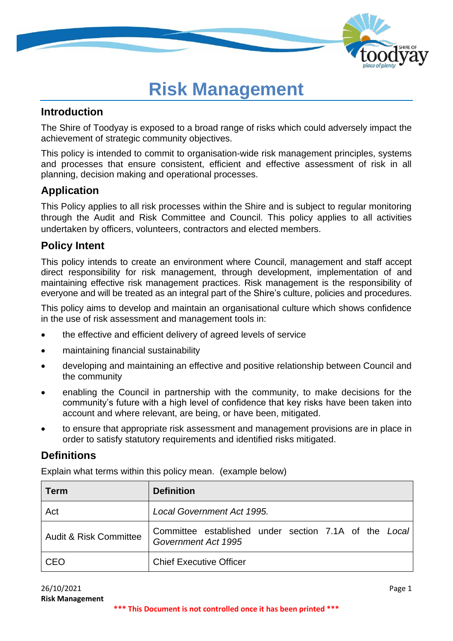

# **Risk Management**

## **Introduction**

The Shire of Toodyay is exposed to a broad range of risks which could adversely impact the achievement of strategic community objectives.

This policy is intended to commit to organisation-wide risk management principles, systems and processes that ensure consistent, efficient and effective assessment of risk in all planning, decision making and operational processes.

# **Application**

This Policy applies to all risk processes within the Shire and is subject to regular monitoring through the Audit and Risk Committee and Council. This policy applies to all activities undertaken by officers, volunteers, contractors and elected members.

# **Policy Intent**

This policy intends to create an environment where Council, management and staff accept direct responsibility for risk management, through development, implementation of and maintaining effective risk management practices. Risk management is the responsibility of everyone and will be treated as an integral part of the Shire's culture, policies and procedures.

This policy aims to develop and maintain an organisational culture which shows confidence in the use of risk assessment and management tools in:

- the effective and efficient delivery of agreed levels of service
- maintaining financial sustainability
- developing and maintaining an effective and positive relationship between Council and the community
- enabling the Council in partnership with the community, to make decisions for the community's future with a high level of confidence that key risks have been taken into account and where relevant, are being, or have been, mitigated.
- to ensure that appropriate risk assessment and management provisions are in place in order to satisfy statutory requirements and identified risks mitigated.

# **Definitions**

Explain what terms within this policy mean. (example below)

| <b>Term</b>                       | <b>Definition</b>                                                            |
|-----------------------------------|------------------------------------------------------------------------------|
| Act                               | Local Government Act 1995.                                                   |
| <b>Audit &amp; Risk Committee</b> | Committee established under section 7.1A of the Local<br>Government Act 1995 |
| <b>CEO</b>                        | <b>Chief Executive Officer</b>                                               |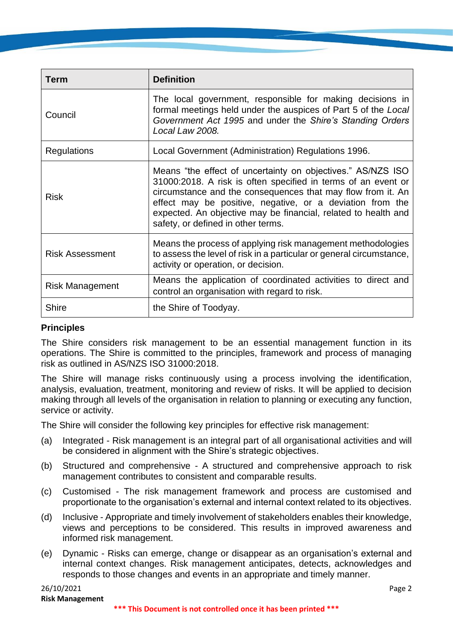| <b>Term</b>            | <b>Definition</b>                                                                                                                                                                                                                                                                                                                                                |
|------------------------|------------------------------------------------------------------------------------------------------------------------------------------------------------------------------------------------------------------------------------------------------------------------------------------------------------------------------------------------------------------|
| Council                | The local government, responsible for making decisions in<br>formal meetings held under the auspices of Part 5 of the Local<br>Government Act 1995 and under the Shire's Standing Orders<br>Local Law 2008.                                                                                                                                                      |
| <b>Regulations</b>     | Local Government (Administration) Regulations 1996.                                                                                                                                                                                                                                                                                                              |
| <b>Risk</b>            | Means "the effect of uncertainty on objectives." AS/NZS ISO<br>31000:2018. A risk is often specified in terms of an event or<br>circumstance and the consequences that may flow from it. An<br>effect may be positive, negative, or a deviation from the<br>expected. An objective may be financial, related to health and<br>safety, or defined in other terms. |
| <b>Risk Assessment</b> | Means the process of applying risk management methodologies<br>to assess the level of risk in a particular or general circumstance,<br>activity or operation, or decision.                                                                                                                                                                                       |
| <b>Risk Management</b> | Means the application of coordinated activities to direct and<br>control an organisation with regard to risk.                                                                                                                                                                                                                                                    |
| <b>Shire</b>           | the Shire of Toodyay.                                                                                                                                                                                                                                                                                                                                            |

#### **Principles**

The Shire considers risk management to be an essential management function in its operations. The Shire is committed to the principles, framework and process of managing risk as outlined in AS/NZS ISO 31000:2018.

The Shire will manage risks continuously using a process involving the identification, analysis, evaluation, treatment, monitoring and review of risks. It will be applied to decision making through all levels of the organisation in relation to planning or executing any function, service or activity.

The Shire will consider the following key principles for effective risk management:

- (a) Integrated Risk management is an integral part of all organisational activities and will be considered in alignment with the Shire's strategic objectives.
- (b) Structured and comprehensive A structured and comprehensive approach to risk management contributes to consistent and comparable results.
- (c) Customised The risk management framework and process are customised and proportionate to the organisation's external and internal context related to its objectives.
- (d) Inclusive Appropriate and timely involvement of stakeholders enables their knowledge, views and perceptions to be considered. This results in improved awareness and informed risk management.
- (e) Dynamic Risks can emerge, change or disappear as an organisation's external and internal context changes. Risk management anticipates, detects, acknowledges and responds to those changes and events in an appropriate and timely manner.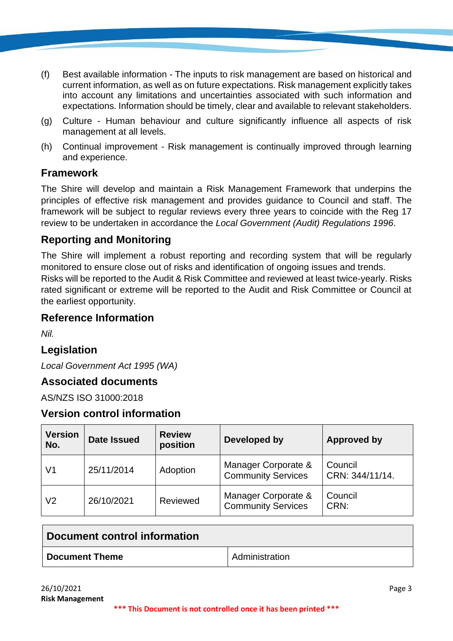- (f) Best available information The inputs to risk management are based on historical and current information, as well as on future expectations. Risk management explicitly takes into account any limitations and uncertainties associated with such information and expectations. Information should be timely, clear and available to relevant stakeholders.
- (g) Culture Human behaviour and culture significantly influence all aspects of risk management at all levels.
- (h) Continual improvement Risk management is continually improved through learning and experience.

### **Framework**

The Shire will develop and maintain a Risk Management Framework that underpins the principles of effective risk management and provides guidance to Council and staff. The framework will be subject to regular reviews every three years to coincide with the Reg 17 review to be undertaken in accordance the *Local Government (Audit) Regulations 1996*.

# **Reporting and Monitoring**

The Shire will implement a robust reporting and recording system that will be regularly monitored to ensure close out of risks and identification of ongoing issues and trends. Risks will be reported to the Audit & Risk Committee and reviewed at least twice-yearly. Risks rated significant or extreme will be reported to the Audit and Risk Committee or Council at the earliest opportunity.

#### **Reference Information**

*Nil.*

# **Legislation**

*Local Government Act 1995 (WA)*

#### **Associated documents**

AS/NZS ISO 31000:2018

### **Version control information**

| <b>Version</b><br>No. | <b>Date Issued</b> | <b>Review</b><br>position | Developed by                                     | Approved by                |
|-----------------------|--------------------|---------------------------|--------------------------------------------------|----------------------------|
| V1                    | 25/11/2014         | Adoption                  | Manager Corporate &<br><b>Community Services</b> | Council<br>CRN: 344/11/14. |
| V2                    | 26/10/2021         | Reviewed                  | Manager Corporate &<br><b>Community Services</b> | Council<br>CRN:            |

| Document control information |                       |  |
|------------------------------|-----------------------|--|
| <b>Document Theme</b>        | <b>Administration</b> |  |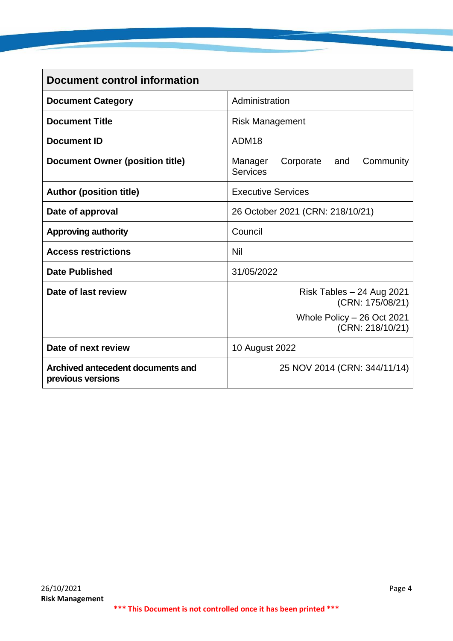| <b>Document control information</b>                    |                                                             |  |  |
|--------------------------------------------------------|-------------------------------------------------------------|--|--|
| <b>Document Category</b>                               | Administration                                              |  |  |
| <b>Document Title</b>                                  | <b>Risk Management</b>                                      |  |  |
| <b>Document ID</b>                                     | ADM <sub>18</sub>                                           |  |  |
| <b>Document Owner (position title)</b>                 | Manager<br>Corporate<br>Community<br>and<br><b>Services</b> |  |  |
| <b>Author (position title)</b>                         | <b>Executive Services</b>                                   |  |  |
| Date of approval                                       | 26 October 2021 (CRN: 218/10/21)                            |  |  |
| <b>Approving authority</b>                             | Council                                                     |  |  |
| <b>Access restrictions</b>                             | <b>Nil</b>                                                  |  |  |
| <b>Date Published</b>                                  | 31/05/2022                                                  |  |  |
| Date of last review                                    | Risk Tables $-24$ Aug 2021<br>(CRN: 175/08/21)              |  |  |
|                                                        | Whole Policy - 26 Oct 2021<br>(CRN: 218/10/21)              |  |  |
| Date of next review                                    | 10 August 2022                                              |  |  |
| Archived antecedent documents and<br>previous versions | 25 NOV 2014 (CRN: 344/11/14)                                |  |  |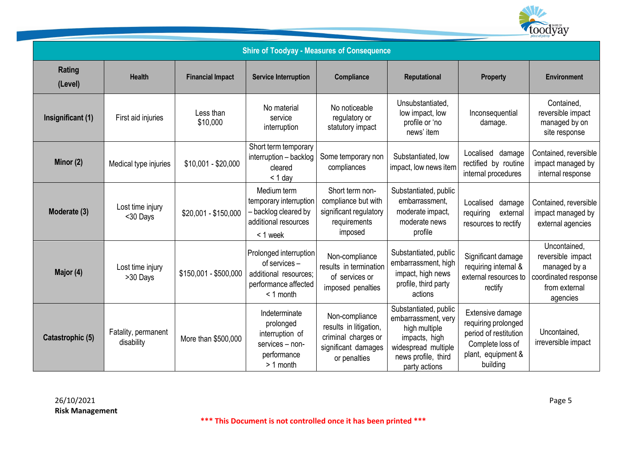

| <b>Shire of Toodyay - Measures of Consequence</b> |                                   |                         |                                                                                                         |                                                                                                        |                                                                                                                                               |                                                                                                                        |                                                                                                        |
|---------------------------------------------------|-----------------------------------|-------------------------|---------------------------------------------------------------------------------------------------------|--------------------------------------------------------------------------------------------------------|-----------------------------------------------------------------------------------------------------------------------------------------------|------------------------------------------------------------------------------------------------------------------------|--------------------------------------------------------------------------------------------------------|
| <b>Rating</b><br>(Level)                          | <b>Health</b>                     | <b>Financial Impact</b> | <b>Service Interruption</b>                                                                             | Compliance                                                                                             | Reputational                                                                                                                                  | <b>Property</b>                                                                                                        | <b>Environment</b>                                                                                     |
| Insignificant (1)                                 | First aid injuries                | Less than<br>\$10,000   | No material<br>service<br>interruption                                                                  | No noticeable<br>regulatory or<br>statutory impact                                                     | Unsubstantiated,<br>low impact, low<br>profile or 'no<br>news' item                                                                           | Inconsequential<br>damage.                                                                                             | Contained,<br>reversible impact<br>managed by on<br>site response                                      |
| Minor (2)                                         | Medical type injuries             | $$10,001 - $20,000$     | Short term temporary<br>interruption - backlog<br>cleared<br>$< 1$ day                                  | Some temporary non<br>compliances                                                                      | Substantiated, low<br>impact, low news item                                                                                                   | Localised damage<br>rectified by routine<br>internal procedures                                                        | Contained, reversible<br>impact managed by<br>internal response                                        |
| Moderate (3)                                      | Lost time injury<br><30 Days      | \$20,001 - \$150,000    | Medium term<br>temporary interruption<br>- backlog cleared by<br>additional resources<br>< 1 week       | Short term non-<br>compliance but with<br>significant regulatory<br>requirements<br>imposed            | Substantiated, public<br>embarrassment,<br>moderate impact,<br>moderate news<br>profile                                                       | Localised<br>damage<br>requiring<br>external<br>resources to rectify                                                   | Contained, reversible<br>impact managed by<br>external agencies                                        |
| Major (4)                                         | Lost time injury<br>>30 Days      | \$150,001 - \$500,000   | Prolonged interruption<br>of services -<br>additional resources;<br>performance affected<br>$< 1$ month | Non-compliance<br>results in termination<br>of services or<br>imposed penalties                        | Substantiated, public<br>embarrassment, high<br>impact, high news<br>profile, third party<br>actions                                          | Significant damage<br>requiring internal &<br>external resources to<br>rectify                                         | Uncontained,<br>reversible impact<br>managed by a<br>coordinated response<br>from external<br>agencies |
| Catastrophic (5)                                  | Fatality, permanent<br>disability | More than \$500,000     | Indeterminate<br>prolonged<br>interruption of<br>services - non-<br>performance<br>$> 1$ month          | Non-compliance<br>results in litigation,<br>criminal charges or<br>significant damages<br>or penalties | Substantiated, public<br>embarrassment, very<br>high multiple<br>impacts, high<br>widespread multiple<br>news profile, third<br>party actions | Extensive damage<br>requiring prolonged<br>period of restitution<br>Complete loss of<br>plant, equipment &<br>building | Uncontained,<br>irreversible impact                                                                    |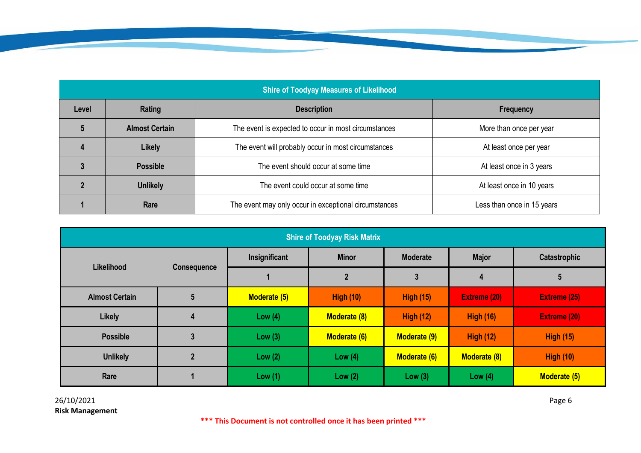| <b>Shire of Toodyay Measures of Likelihood</b> |                       |                                                                               |                            |  |  |
|------------------------------------------------|-----------------------|-------------------------------------------------------------------------------|----------------------------|--|--|
| Level                                          | Rating                | <b>Description</b>                                                            | Frequency                  |  |  |
|                                                | <b>Almost Certain</b> | The event is expected to occur in most circumstances                          | More than once per year    |  |  |
|                                                | <b>Likely</b>         | The event will probably occur in most circumstances<br>At least once per year |                            |  |  |
|                                                | <b>Possible</b>       | The event should occur at some time<br>At least once in 3 years               |                            |  |  |
|                                                | <b>Unlikely</b>       | The event could occur at some time<br>At least once in 10 years               |                            |  |  |
|                                                | Rare                  | The event may only occur in exceptional circumstances                         | Less than once in 15 years |  |  |

| <b>Shire of Toodyay Risk Matrix</b> |                    |               |                     |                     |                     |                     |
|-------------------------------------|--------------------|---------------|---------------------|---------------------|---------------------|---------------------|
| <b>Likelihood</b>                   | <b>Consequence</b> | Insignificant | <b>Minor</b>        | <b>Moderate</b>     | <b>Major</b>        | Catastrophic        |
|                                     |                    |               |                     | 3                   | 4                   | 5                   |
| <b>Almost Certain</b>               | $5\overline{)}$    | Moderate (5)  | <b>High (10)</b>    | <b>High (15)</b>    | <b>Extreme (20)</b> | <b>Extreme (25)</b> |
| <b>Likely</b>                       | 4                  | Low $(4)$     | <b>Moderate (8)</b> | <b>High (12)</b>    | <b>High (16)</b>    | <b>Extreme (20)</b> |
| <b>Possible</b>                     |                    | Low $(3)$     | <b>Moderate (6)</b> | <b>Moderate (9)</b> | <b>High (12)</b>    | <b>High (15)</b>    |
| <b>Unlikely</b>                     |                    | Low $(2)$     | Low $(4)$           | Moderate (6)        | Moderate (8)        | <b>High (10)</b>    |
| Rare                                |                    | Low $(1)$     | Low $(2)$           | Low $(3)$           | Low $(4)$           | Moderate (5)        |

26/10/2021 Page 6 **Risk Management**

**\*\*\* This Document is not controlled once it has been printed \*\*\***